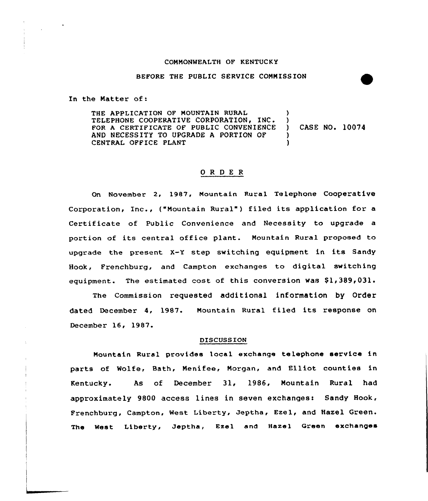### COMMONWEALTH QF KENTUCKY

# BEFORE THE PUBLIC SERVICE COMMISSION

In the Matter of:

THE APPLICATION OF MOUNTAIN RURAL TELEPHONE COOPERATIVE CORPORATION, INC. FOR A CERTIFICATE OF PUBLIC CONVENIENCE AND NECESSITY TO UPGRADE A PORTION OF CENTRAL OFFICE PLANT )  $\left\{ \begin{array}{c} 1 \\ 1 \end{array} \right\}$ CASE NO. 10074 ) )

# ORDER

On November 2, 1987, Mountain Rural Telephone Cooperative Corporation, Inc., ("Mountain Rural") filed its application for a Certificate of Public Convenience and Necessity to upgrade a portion of its central office plant. Mountain Rural proposed to upgrade the present X-Y step switching equipment in its Sandy Hook, Frenchburg, and Campton exchanges to digital switching equipment. The estimated cost of this conversion was  $$1,389,031$ .

The Commission requested additional information by Order dated December 4, 1987. Mountain Rural filed its response on December 16, 1987.

### DISCUSSION

Mountain Rural provides local exchange telephone service in parts of Wolfe, Bath, Menifee, Morgan, and Elliot counties in Kentucky. As of December 31, 1986, Mountain Rural had approximately 9800 access lines in seven exchangesi Sandy Hook, Frenchburg, Campton, west Liberty, depths, Ezel, and Haxel Green. The West Liberty, Jeptha, Ezel and Hazel Green exchanges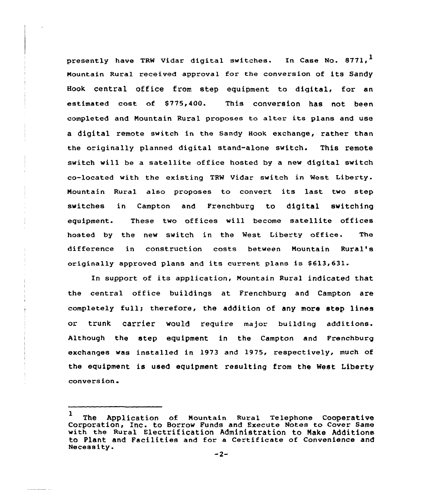presently have TRW Vidar digital switches. In Case No. 8771. $^1$ Mountain Rural received approval for the conversion of its sandy Hook central office from step equipment to digital, for an estimated cost of \$775,400. This conversion has not been completed and Mountain Rural proposes to alter its plans and use a digital remote switch in the Sandy Hook exchange, rather than the originally planned digital stand-alone switch. This remote switch will be a satellite office hosted by a new digital switch co-located with the existing TRW Vidar switch in West Liberty. Mountain Rural also proposes to convert its last two step switches in Campton and Frenchburg to digital switching equipment. These two offices will become satellite offices hasted by the new switch in the West Liberty office. The diffexence in construction costs between Mountain Rural's originally approved plans and its current plans is \$613,631.

In support of its application, Mountain Rura} indicated that the central office buildings at Frenchburg and Campton are completely full; therefore, the addition of any more step lines or trunk carrier would require major building additions. Although the step equipment in the Campton and Frenchburg exchanges was installed in 1973 and 1975, respectively, much of the equipment is used equipment resulting from the West Liberty conversion

 $\mathbf{I}$ The Application of Mountain Rural Telephone Cooperativ Corporation, Inc. to Borrow Funds and Execute Notes to Cover Same with the Rural Electrification Administration to Nake Additions to Plant and Facilities and for a Certificate of Convenience and Necessity.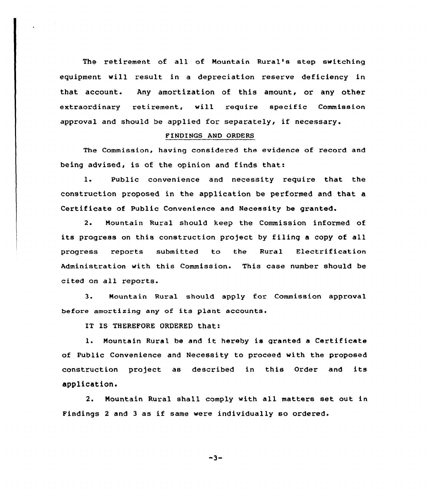The retirement of all of Mountain Rural's step switching equipment will result in a depreciation reserve deficiency in that account. Any amortization of this amount, or any other extraordinary retirement, will require specific Commission approval and should be applied for separately, if necessary.

### FINDINGS AND ORDERS

The Commission, having considered the evidence of record and being advised, is of the opinion and finds that:

1. Public convenience and necessity require that the construction proposed in the application be performed and that a Certificate of Public Convenience and Necessity be granted.

2. Nountain Rural should keep the Commission informed of its progress on this construction project by filing a copy of all progress reports submitted to the Rural Electrification Administration with this Commission. This case number should be cited on all reports.

3. Nountain Rural should apply for Commission approval before amortizing any of its plant accounts.

IT IS THEREFORE ORDERED that:

1. Mountain Rural be and it hereby is granted <sup>a</sup> Certificate of Public Convenience and Necessity to proceed with the proposed construction project as described in this Order and its application.

2. Nountain Rural shall comply with all matters set out in Findings <sup>2</sup> and <sup>3</sup> as if same were individually so ordered.

 $-3-$